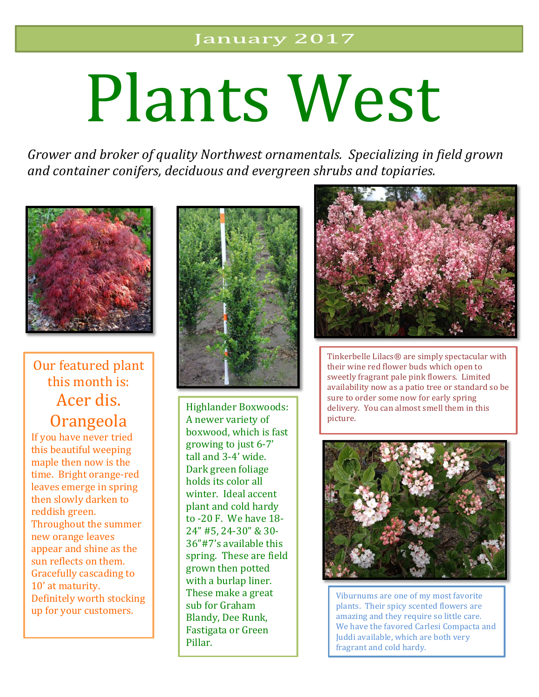# Plants West

*Grower and broker of quality Northwest ornamentals. Specializing in field grown* and container conifers, deciduous and evergreen shrubs and topiaries.



### Our featured plant this month is: Acer dis. **Orangeola**

If you have never tried this beautiful weeping maple then now is the time. Bright orange-red leaves emerge in spring then slowly darken to reddish green. Throughout the summer new orange leaves appear and shine as the sun reflects on them. Gracefully cascading to 10' at maturity. Definitely worth stocking up for your customers.



Highlander Boxwoods: A newer variety of boxwood, which is fast growing to just  $6-7'$ tall and 3-4' wide. Dark green foliage holds its color all winter. Ideal accent plant and cold hardy to -20 F. We have 18- 24" #5, 24-30" & 30- 36"#7's available this spring. These are field grown then potted with a burlap liner. These make a great sub for Graham Blandy, Dee Runk, Fastigata or Green Pillar.



Tinkerbelle Lilacs<sup>®</sup> are simply spectacular with their wine red flower buds which open to sweetly fragrant pale pink flowers. Limited availability now as a patio tree or standard so be sure to order some now for early spring delivery. You can almost smell them in this picture.



Viburnums are one of my most favorite plants. Their spicy scented flowers are amazing and they require so little care. We have the favored Carlesi Compacta and Juddi available, which are both very fragrant and cold hardy.